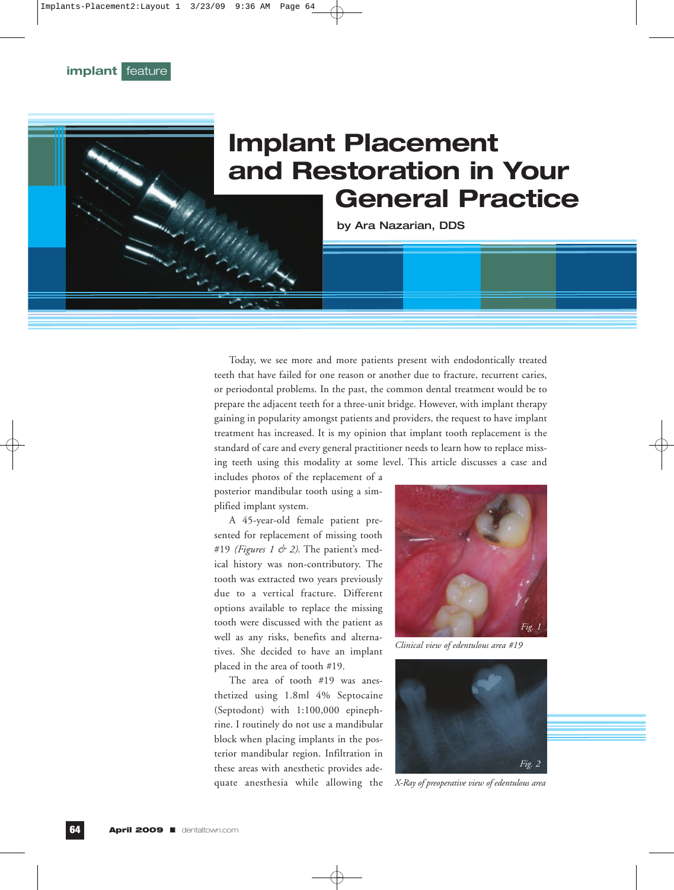## **Implant Placement and Restoration in Your<br>
General Practice**<br> **and Restoration Disk**<br> **and Restoration in Your General Practice**

by Ara Nazarian, DDS

Today, we see more and more patients present with endodontically treated teeth that have failed for one reason or another due to fracture, recurrent caries, or periodontal problems. In the past, the common dental treatment would be to prepare the adjacent teeth for a three-unit bridge. However, with implant therapy gaining in popularity amongst patients and providers, the request to have implant treatment has increased. It is my opinion that implant tooth replacement is the standard of care and every general practitioner needs to learn how to replace missing teeth using this modality at some level. This article discusses a case and

includes photos of the replacement of a posterior mandibular tooth using a simplified implant system.

A 45-year-old female patient presented for replacement of missing tooth #19 *(Figures 1 & 2)*. The patient's medical history was non-contributory. The tooth was extracted two years previously due to a vertical fracture. Different options available to replace the missing tooth were discussed with the patient as well as any risks, benefits and alternatives. She decided to have an implant placed in the area of tooth #19.

The area of tooth #19 was anesthetized using 1.8ml 4% Septocaine (Septodont) with 1:100,000 epinephrine. I routinely do not use a mandibular block when placing implants in the posterior mandibular region. Infiltration in these areas with anesthetic provides adequate anesthesia while allowing the



*Clinical view of edentulous area #19*



*X-Ray of preoperative view of edentulous area*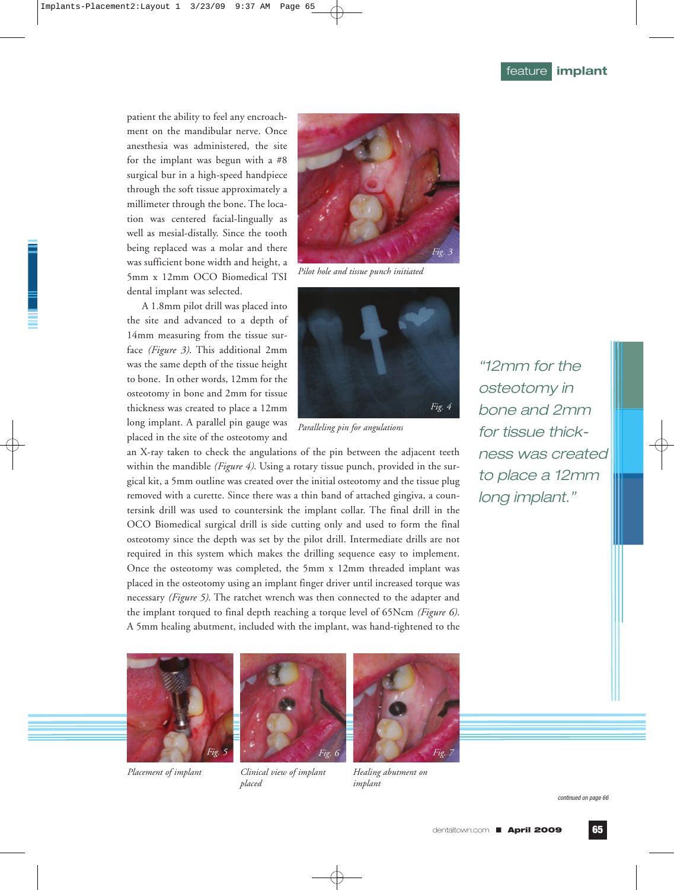patient the ability to feel any encroachment on the mandibular nerve. Once anesthesia was administered, the site for the implant was begun with a #8 surgical bur in a high-speed handpiece through the soft tissue approximately a millimeter through the bone. The location was centered facial-lingually as well as mesial-distally. Since the tooth being replaced was a molar and there was sufficient bone width and height, a 5mm x 12mm OCO Biomedical TSI dental implant was selected.

A 1.8mm pilot drill was placed into the site and advanced to a depth of 14mm measuring from the tissue surface *(Figure 3)*. This additional 2mm was the same depth of the tissue height to bone. In other words, 12mm for the osteotomy in bone and 2mm for tissue thickness was created to place a 12mm long implant. A parallel pin gauge was placed in the site of the osteotomy and



*Pilot hole and tissue punch initiated*



*Paralleling pin for angulations*

an X-ray taken to check the angulations of the pin between the adjacent teeth within the mandible *(Figure 4)*. Using a rotary tissue punch, provided in the surgical kit, a 5mm outline was created over the initial osteotomy and the tissue plug removed with a curette. Since there was a thin band of attached gingiva, a countersink drill was used to countersink the implant collar. The final drill in the OCO Biomedical surgical drill is side cutting only and used to form the final osteotomy since the depth was set by the pilot drill. Intermediate drills are not required in this system which makes the drilling sequence easy to implement. Once the osteotomy was completed, the 5mm x 12mm threaded implant was placed in the osteotomy using an implant finger driver until increased torque was necessary *(Figure 5)*. The ratchet wrench was then connected to the adapter and the implant torqued to final depth reaching a torque level of 65Ncm *(Figure 6)*. A 5mm healing abutment, included with the implant, was hand-tightened to the

"12mm for the osteotomy in bone and 2mm for tissue thickness was created to place a 12mm long implant."





*Placement of implant Clinical view of implant placed*



*Healing abutment on implant*

continued on page 66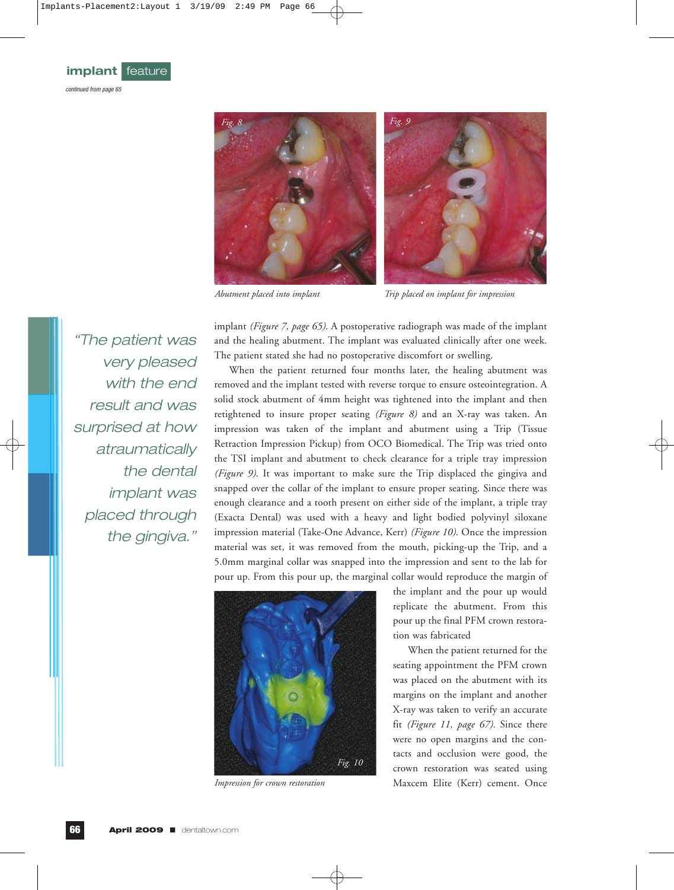

*Abutment placed into implant Trip placed on implant for impression*

implant *(Figure 7, page 65)*. A postoperative radiograph was made of the implant and the healing abutment. The implant was evaluated clinically after one week. The patient stated she had no postoperative discomfort or swelling. When the patient returned four months later, the healing abutment was "The patient was

removed and the implant tested with reverse torque to ensure osteointegration. A solid stock abutment of 4mm height was tightened into the implant and then retightened to insure proper seating *(Figure 8)* and an X-ray was taken. An impression was taken of the implant and abutment using a Trip (Tissue Retraction Impression Pickup) from OCO Biomedical. The Trip was tried onto the TSI implant and abutment to check clearance for a triple tray impression *(Figure 9)*. It was important to make sure the Trip displaced the gingiva and snapped over the collar of the implant to ensure proper seating. Since there was enough clearance and a tooth present on either side of the implant, a triple tray (Exacta Dental) was used with a heavy and light bodied polyvinyl siloxane impression material (Take-One Advance, Kerr) *(Figure 10)*. Once the impression material was set, it was removed from the mouth, picking-up the Trip, and a 5.0mm marginal collar was snapped into the impression and sent to the lab for pour up. From this pour up, the marginal collar would reproduce the margin of



*Impression for crown restoration*

the implant and the pour up would replicate the abutment. From this pour up the final PFM crown restoration was fabricated

When the patient returned for the seating appointment the PFM crown was placed on the abutment with its margins on the implant and another X-ray was taken to verify an accurate fit *(Figure 11, page 67)*. Since there were no open margins and the contacts and occlusion were good, the crown restoration was seated using Maxcem Elite (Kerr) cement. Once

very pleased with the end result and was surprised at how atraumatically the dental implant was placed through the gingiva."